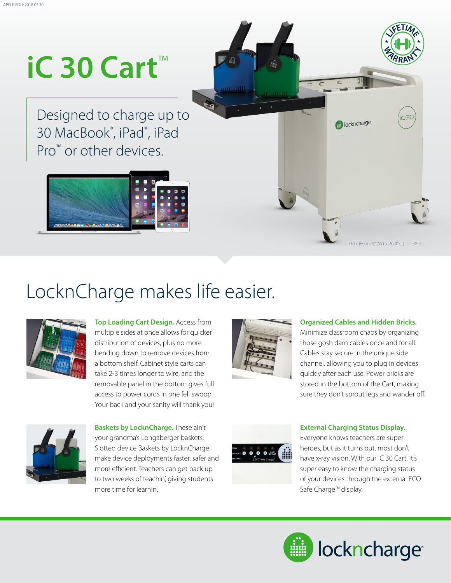# **iC 30 Cart**™

Designed to charge up to 30 MacBook® , iPad® , iPad Pro<sup>™</sup> or other devices.







**Top Loading Cart Design.** Access from multiple sides at once allows for quicker distribution of devices, plus no more bending down to remove devices from a bottom shelf. Cabinet style carts can take 2-3 times longer to wire, and the removable panel in the bottom gives full access to power cords in one fell swoop. Your back and your sanity will thank you!



a muur

### **Organized Cables and Hidden Bricks.**

**A** lockncharge

36.6" (H) x 29" (W) x 26.4" (L) | 158 lbs

Minimize classroom chaos by organizing those gosh darn cables once and for all. Cables stay secure in the unique side channel, allowing you to plug in devices quickly after each use. Power bricks are stored in the bottom of the Cart, making sure they don't sprout legs and wander off.



**Baskets by LocknCharge.** These ain't your grandma's Longaberger baskets. Slotted device Baskets by LocknCharge make device deployments faster, safer and more efficient. Teachers can get back up to two weeks of teachin', giving students more time for learnin'.



#### **External Charging Status Display.**

Everyone knows teachers are super heroes, but as it turns out, most don't have x-ray vision. With our iC 30 Cart, it's super easy to know the charging status of your devices through the external ECO Safe Charge™ display.